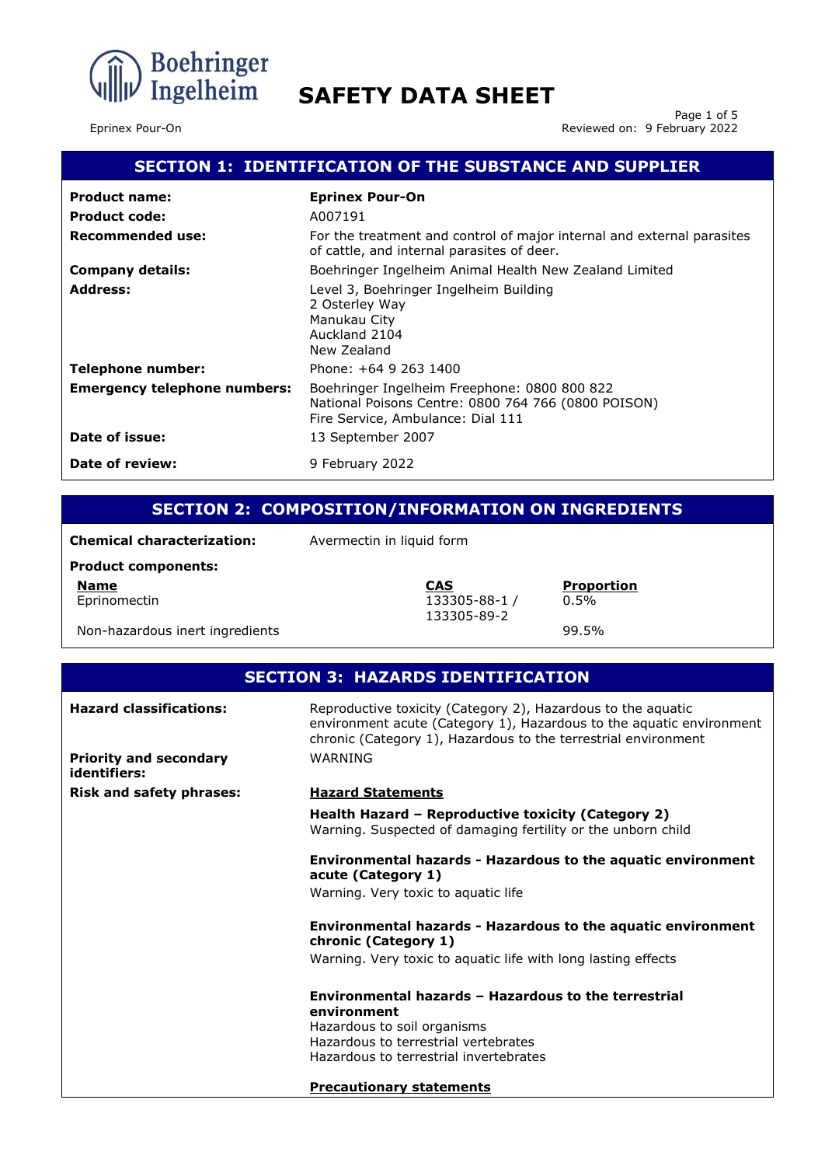

Page 1 of 5 Eprinex Pour-On Reviewed on: 9 February 2022

# **SECTION 1: IDENTIFICATION OF THE SUBSTANCE AND SUPPLIER**

| <b>Product name:</b>                | <b>Eprinex Pour-On</b>                                                                                                                   |
|-------------------------------------|------------------------------------------------------------------------------------------------------------------------------------------|
| <b>Product code:</b>                | A007191                                                                                                                                  |
| Recommended use:                    | For the treatment and control of major internal and external parasites<br>of cattle, and internal parasites of deer.                     |
| <b>Company details:</b>             | Boehringer Ingelheim Animal Health New Zealand Limited                                                                                   |
| <b>Address:</b>                     | Level 3, Boehringer Ingelheim Building<br>2 Osterley Way<br>Manukau City<br>Auckland 2104<br>New Zealand                                 |
| Telephone number:                   | Phone: +64 9 263 1400                                                                                                                    |
| <b>Emergency telephone numbers:</b> | Boehringer Ingelheim Freephone: 0800 800 822<br>National Poisons Centre: 0800 764 766 (0800 POISON)<br>Fire Service, Ambulance: Dial 111 |
| Date of issue:                      | 13 September 2007                                                                                                                        |
| Date of review:                     | 9 February 2022                                                                                                                          |

# **SECTION 2: COMPOSITION/INFORMATION ON INGREDIENTS**

133305-89-2

0.5%

**Chemical characterization:** Avermectin in liquid form

#### **Product components:**

**Name CAS Proportion** Eprinomectin 133305-88-1 /

Non-hazardous inert ingredients example of the state of the 99.5%

| <b>SECTION 3: HAZARDS IDENTIFICATION</b>      |                                                                                                                                                                                                        |
|-----------------------------------------------|--------------------------------------------------------------------------------------------------------------------------------------------------------------------------------------------------------|
| <b>Hazard classifications:</b>                | Reproductive toxicity (Category 2), Hazardous to the aquatic<br>environment acute (Category 1), Hazardous to the aquatic environment<br>chronic (Category 1), Hazardous to the terrestrial environment |
| <b>Priority and secondary</b><br>identifiers: | WARNING                                                                                                                                                                                                |
| <b>Risk and safety phrases:</b>               | <b>Hazard Statements</b>                                                                                                                                                                               |
|                                               | Health Hazard – Reproductive toxicity (Category 2)<br>Warning. Suspected of damaging fertility or the unborn child                                                                                     |
|                                               | <b>Environmental hazards - Hazardous to the aquatic environment</b><br>acute (Category 1)                                                                                                              |
|                                               | Warning. Very toxic to aguatic life                                                                                                                                                                    |
|                                               | <b>Environmental hazards - Hazardous to the aquatic environment</b><br>chronic (Category 1)                                                                                                            |
|                                               | Warning. Very toxic to aquatic life with long lasting effects                                                                                                                                          |
|                                               | Environmental hazards - Hazardous to the terrestrial<br>environment                                                                                                                                    |
|                                               | Hazardous to soil organisms                                                                                                                                                                            |
|                                               | Hazardous to terrestrial vertebrates<br>Hazardous to terrestrial invertebrates                                                                                                                         |
|                                               | <b>Precautionary statements</b>                                                                                                                                                                        |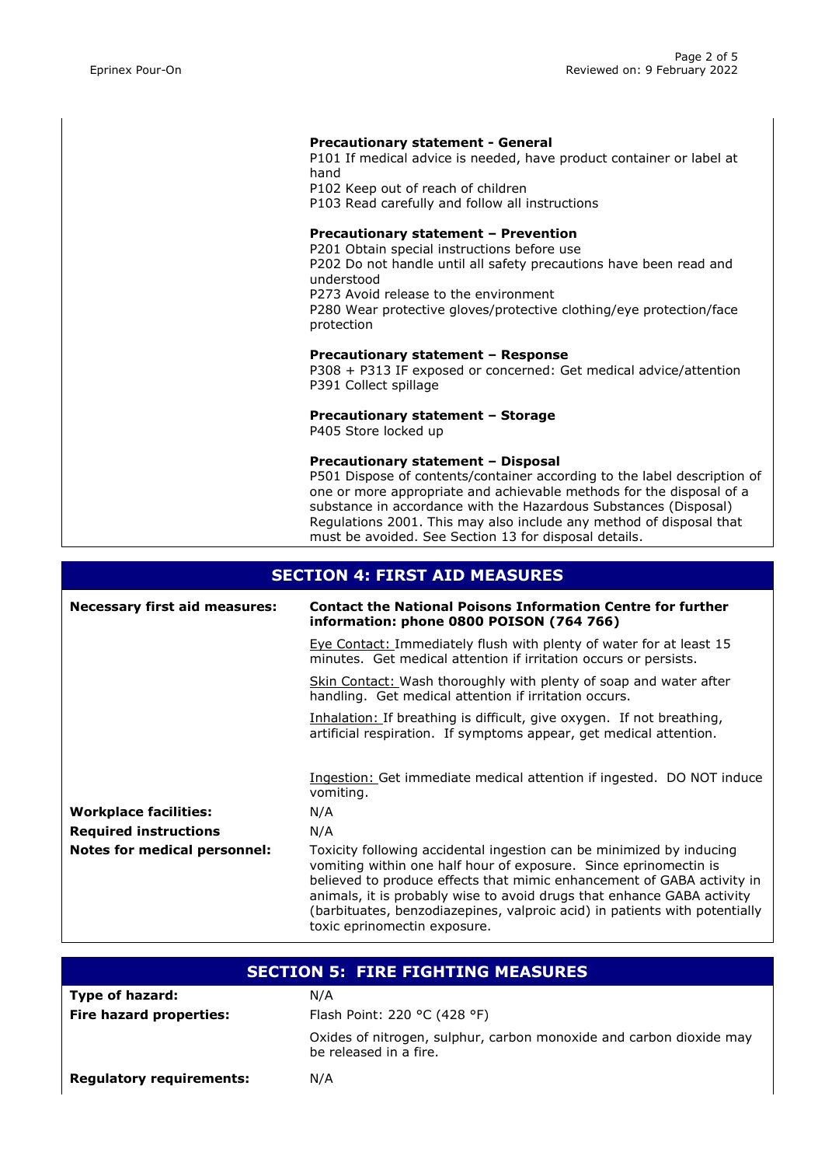#### **Precautionary statement - General**

P101 If medical advice is needed, have product container or label at hand

P102 Keep out of reach of children

P103 Read carefully and follow all instructions

#### **Precautionary statement – Prevention**

P201 Obtain special instructions before use P202 Do not handle until all safety precautions have been read and understood P273 Avoid release to the environment P280 Wear protective gloves/protective clothing/eye protection/face protection

#### **Precautionary statement – Response**

P308 + P313 IF exposed or concerned: Get medical advice/attention P391 Collect spillage

## **Precautionary statement – Storage**

P405 Store locked up

#### **Precautionary statement – Disposal**

P501 Dispose of contents/container according to the label description of one or more appropriate and achievable methods for the disposal of a substance in accordance with the Hazardous Substances (Disposal) Regulations 2001. This may also include any method of disposal that must be avoided. See Section 13 for disposal details.

## **SECTION 4: FIRST AID MEASURES**

| <b>Necessary first aid measures:</b> | <b>Contact the National Poisons Information Centre for further</b><br>information: phone 0800 POISON (764 766)                                                                                                                                                                                                                                                                                             |
|--------------------------------------|------------------------------------------------------------------------------------------------------------------------------------------------------------------------------------------------------------------------------------------------------------------------------------------------------------------------------------------------------------------------------------------------------------|
|                                      | <b>Eye Contact: Immediately flush with plenty of water for at least 15</b><br>minutes. Get medical attention if irritation occurs or persists.                                                                                                                                                                                                                                                             |
|                                      | Skin Contact: Wash thoroughly with plenty of soap and water after<br>handling. Get medical attention if irritation occurs.                                                                                                                                                                                                                                                                                 |
|                                      | Inhalation: If breathing is difficult, give oxygen. If not breathing,<br>artificial respiration. If symptoms appear, get medical attention.                                                                                                                                                                                                                                                                |
|                                      | Ingestion: Get immediate medical attention if ingested. DO NOT induce<br>vomiting.                                                                                                                                                                                                                                                                                                                         |
| <b>Workplace facilities:</b>         | N/A                                                                                                                                                                                                                                                                                                                                                                                                        |
| <b>Required instructions</b>         | N/A                                                                                                                                                                                                                                                                                                                                                                                                        |
| <b>Notes for medical personnel:</b>  | Toxicity following accidental ingestion can be minimized by inducing<br>vomiting within one half hour of exposure. Since eprinomectin is<br>believed to produce effects that mimic enhancement of GABA activity in<br>animals, it is probably wise to avoid drugs that enhance GABA activity<br>(barbituates, benzodiazepines, valproic acid) in patients with potentially<br>toxic eprinomectin exposure. |

| <b>SECTION 5: FIRE FIGHTING MEASURES</b> |                                                                                               |
|------------------------------------------|-----------------------------------------------------------------------------------------------|
| Type of hazard:                          | N/A                                                                                           |
| <b>Fire hazard properties:</b>           | Flash Point: 220 °C (428 °F)                                                                  |
|                                          | Oxides of nitrogen, sulphur, carbon monoxide and carbon dioxide may<br>be released in a fire. |
| <b>Regulatory requirements:</b>          | N/A                                                                                           |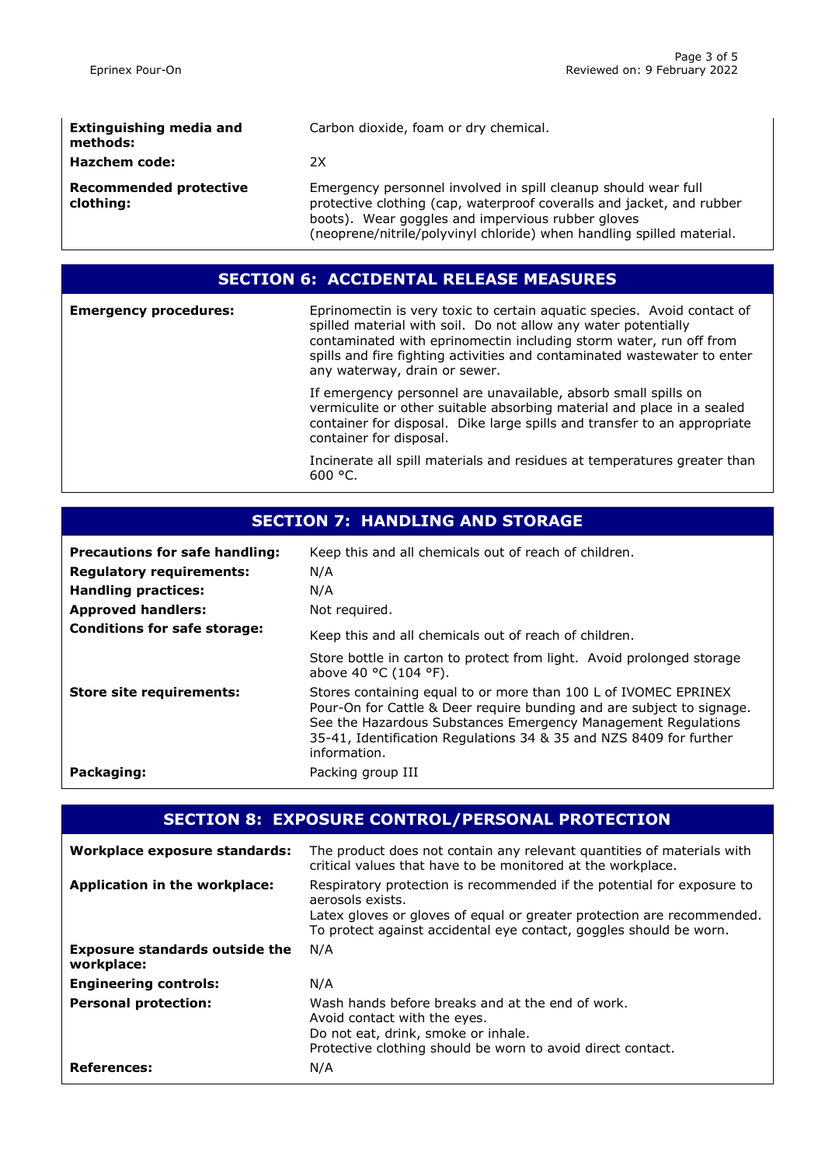| <b>Extinguishing media and</b><br>methods: | Carbon dioxide, foam or dry chemical.                                                                                                                                                                                                                                 |
|--------------------------------------------|-----------------------------------------------------------------------------------------------------------------------------------------------------------------------------------------------------------------------------------------------------------------------|
| <b>Hazchem code:</b>                       | 2X                                                                                                                                                                                                                                                                    |
| Recommended protective<br>clothing:        | Emergency personnel involved in spill cleanup should wear full<br>protective clothing (cap, waterproof coveralls and jacket, and rubber<br>boots). Wear goggles and impervious rubber gloves<br>(neoprene/nitrile/polyvinyl chloride) when handling spilled material. |

## **SECTION 6: ACCIDENTAL RELEASE MEASURES**

**Emergency procedures:** Eprinomectin is very toxic to certain aquatic species. Avoid contact of spilled material with soil. Do not allow any water potentially contaminated with eprinomectin including storm water, run off from spills and fire fighting activities and contaminated wastewater to enter any waterway, drain or sewer.

If emergency personnel are unavailable, absorb small spills on vermiculite or other suitable absorbing material and place in a sealed container for disposal. Dike large spills and transfer to an appropriate container for disposal.

Incinerate all spill materials and residues at temperatures greater than 600 °C.

| <b>Precautions for safe handling:</b><br><b>Regulatory requirements:</b><br><b>Handling practices:</b><br><b>Approved handlers:</b> | Keep this and all chemicals out of reach of children.<br>N/A<br>N/A<br>Not required.                                                                                                                                                                                                            |
|-------------------------------------------------------------------------------------------------------------------------------------|-------------------------------------------------------------------------------------------------------------------------------------------------------------------------------------------------------------------------------------------------------------------------------------------------|
| <b>Conditions for safe storage:</b>                                                                                                 | Keep this and all chemicals out of reach of children.<br>Store bottle in carton to protect from light. Avoid prolonged storage<br>above 40 $^{\circ}$ C (104 $^{\circ}$ F).                                                                                                                     |
| <b>Store site requirements:</b>                                                                                                     | Stores containing equal to or more than 100 L of IVOMEC EPRINEX<br>Pour-On for Cattle & Deer require bunding and are subject to signage.<br>See the Hazardous Substances Emergency Management Regulations<br>35-41, Identification Regulations 34 & 35 and NZS 8409 for further<br>information. |
| Packaging:                                                                                                                          | Packing group III                                                                                                                                                                                                                                                                               |

## **SECTION 8: EXPOSURE CONTROL/PERSONAL PROTECTION**

| Workplace exposure standards:                       | The product does not contain any relevant quantities of materials with<br>critical values that have to be monitored at the workplace.                                                                                                      |
|-----------------------------------------------------|--------------------------------------------------------------------------------------------------------------------------------------------------------------------------------------------------------------------------------------------|
| Application in the workplace:                       | Respiratory protection is recommended if the potential for exposure to<br>aerosols exists.<br>Latex gloves or gloves of equal or greater protection are recommended.<br>To protect against accidental eye contact, goggles should be worn. |
| <b>Exposure standards outside the</b><br>workplace: | N/A                                                                                                                                                                                                                                        |
| <b>Engineering controls:</b>                        | N/A                                                                                                                                                                                                                                        |
| <b>Personal protection:</b>                         | Wash hands before breaks and at the end of work.<br>Avoid contact with the eyes.<br>Do not eat, drink, smoke or inhale.<br>Protective clothing should be worn to avoid direct contact.                                                     |
| <b>References:</b>                                  | N/A                                                                                                                                                                                                                                        |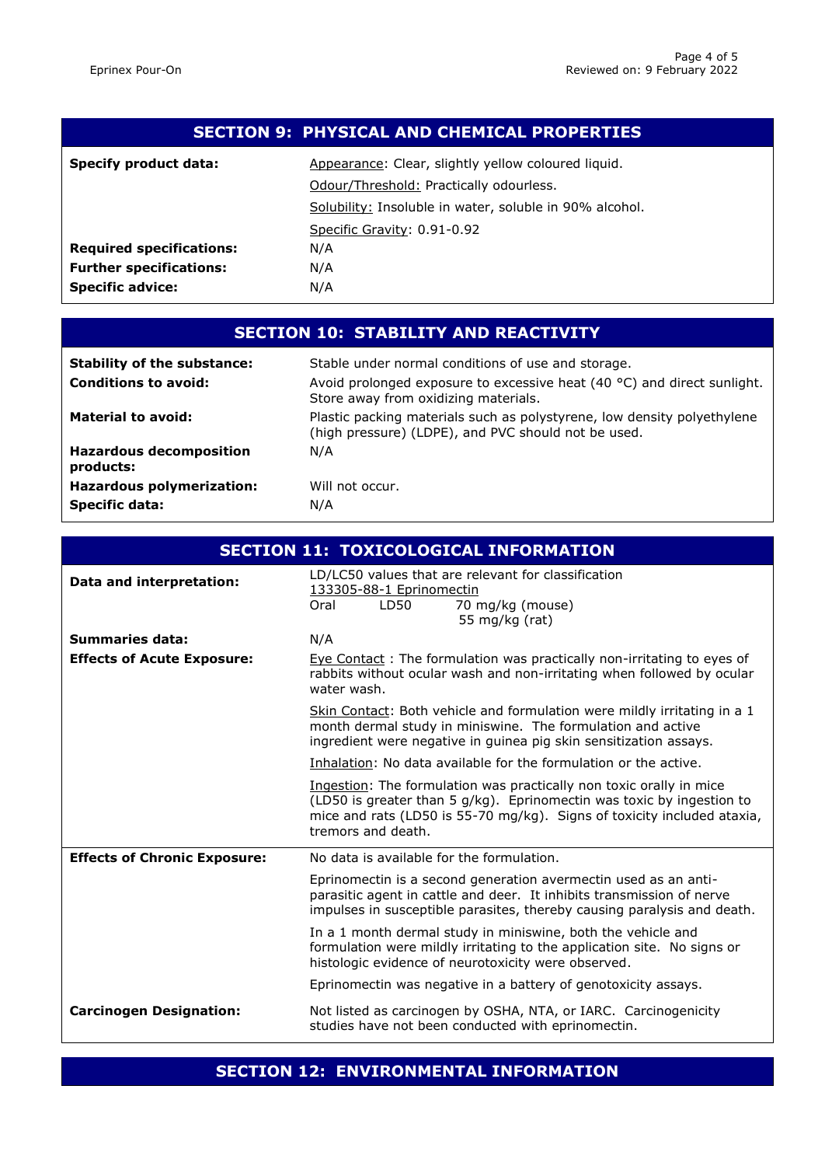| <b>SECTION 9: PHYSICAL AND CHEMICAL PROPERTIES</b> |                                                         |
|----------------------------------------------------|---------------------------------------------------------|
| <b>Specify product data:</b>                       | Appearance: Clear, slightly yellow coloured liquid.     |
|                                                    | Odour/Threshold: Practically odourless.                 |
|                                                    | Solubility: Insoluble in water, soluble in 90% alcohol. |
|                                                    | Specific Gravity: 0.91-0.92                             |
| <b>Required specifications:</b>                    | N/A                                                     |
| <b>Further specifications:</b>                     | N/A                                                     |
| <b>Specific advice:</b>                            | N/A                                                     |

# **SECTION 10: STABILITY AND REACTIVITY**

| <b>Stability of the substance:</b>          | Stable under normal conditions of use and storage.                                                                             |
|---------------------------------------------|--------------------------------------------------------------------------------------------------------------------------------|
| <b>Conditions to avoid:</b>                 | Avoid prolonged exposure to excessive heat (40 °C) and direct sunlight.<br>Store away from oxidizing materials.                |
| <b>Material to avoid:</b>                   | Plastic packing materials such as polystyrene, low density polyethylene<br>(high pressure) (LDPE), and PVC should not be used. |
| <b>Hazardous decomposition</b><br>products: | N/A                                                                                                                            |
| <b>Hazardous polymerization:</b>            | Will not occur.                                                                                                                |
| <b>Specific data:</b>                       | N/A                                                                                                                            |

| <b>SECTION 11: TOXICOLOGICAL INFORMATION</b> |                                                                                                                                                                                                                                               |
|----------------------------------------------|-----------------------------------------------------------------------------------------------------------------------------------------------------------------------------------------------------------------------------------------------|
| Data and interpretation:                     | LD/LC50 values that are relevant for classification<br>133305-88-1 Eprinomectin<br>LD50<br>70 mg/kg (mouse)<br>Oral<br>55 mg/kg (rat)                                                                                                         |
| <b>Summaries data:</b>                       | N/A                                                                                                                                                                                                                                           |
| <b>Effects of Acute Exposure:</b>            | Eye Contact: The formulation was practically non-irritating to eyes of<br>rabbits without ocular wash and non-irritating when followed by ocular<br>water wash.                                                                               |
|                                              | Skin Contact: Both vehicle and formulation were mildly irritating in a 1<br>month dermal study in miniswine. The formulation and active<br>ingredient were negative in guinea pig skin sensitization assays.                                  |
|                                              | Inhalation: No data available for the formulation or the active.                                                                                                                                                                              |
|                                              | Ingestion: The formulation was practically non toxic orally in mice<br>(LD50 is greater than 5 g/kg). Eprinomectin was toxic by ingestion to<br>mice and rats (LD50 is 55-70 mg/kg). Signs of toxicity included ataxia,<br>tremors and death. |
| <b>Effects of Chronic Exposure:</b>          | No data is available for the formulation.                                                                                                                                                                                                     |
|                                              | Eprinomectin is a second generation avermectin used as an anti-<br>parasitic agent in cattle and deer. It inhibits transmission of nerve<br>impulses in susceptible parasites, thereby causing paralysis and death.                           |
|                                              | In a 1 month dermal study in miniswine, both the vehicle and<br>formulation were mildly irritating to the application site. No signs or<br>histologic evidence of neurotoxicity were observed.                                                |
|                                              | Eprinomectin was negative in a battery of genotoxicity assays.                                                                                                                                                                                |
| <b>Carcinogen Designation:</b>               | Not listed as carcinogen by OSHA, NTA, or IARC. Carcinogenicity<br>studies have not been conducted with eprinomectin.                                                                                                                         |

# **SECTION 12: ENVIRONMENTAL INFORMATION**